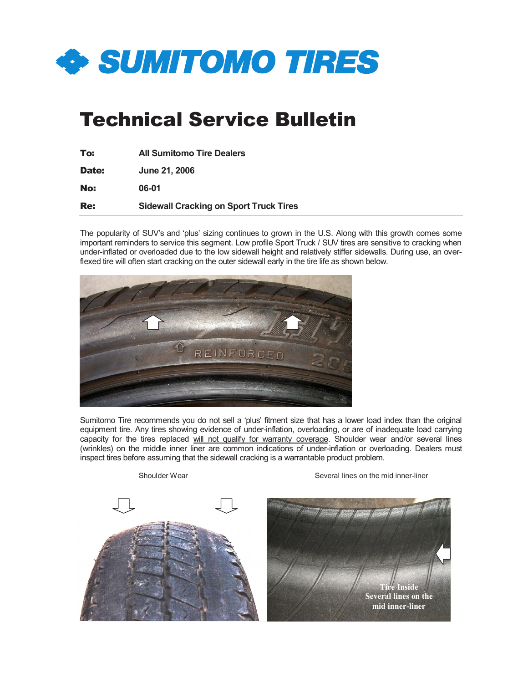

# Technical Service Bulletin

| To:        | <b>All Sumitomo Tire Dealers</b>              |
|------------|-----------------------------------------------|
| Date:      | <b>June 21, 2006</b>                          |
| No:        | 06-01                                         |
| <b>Re:</b> | <b>Sidewall Cracking on Sport Truck Tires</b> |

The popularity of SUV's and 'plus' sizing continues to grown in the U.S. Along with this growth comes some important reminders to service this segment. Low profile Sport Truck / SUV tires are sensitive to cracking when under-inflated or overloaded due to the low sidewall height and relatively stiffer sidewalls. During use, an overflexed tire will often start cracking on the outer sidewall early in the tire life as shown below.



Sumitomo Tire recommends you do not sell a 'plus' fitment size that has a lower load index than the original equipment tire. Any tires showing evidence of under-inflation, overloading, or are of inadequate load carrying capacity for the tires replaced will not qualify for warranty coverage. Shoulder wear and/or several lines (wrinkles) on the middle inner liner are common indications of under-inflation or overloading. Dealers must inspect tires before assuming that the sidewall cracking is a warrantable product problem.



Shoulder Wear Shoulder Wear Several lines on the mid inner-liner